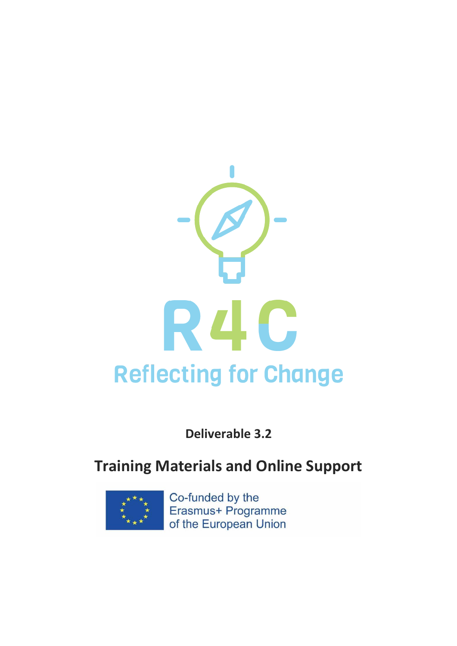

**Deliverable 3.2**

**Training Materials and Online Support**



Co-funded by the Erasmus+ Programme of the European Union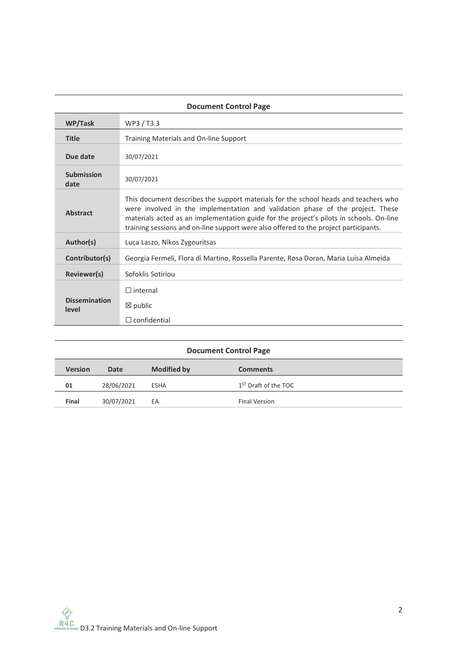| <b>Document Control Page</b>  |                                                                                                                                                                                                                                                                                                                                                          |
|-------------------------------|----------------------------------------------------------------------------------------------------------------------------------------------------------------------------------------------------------------------------------------------------------------------------------------------------------------------------------------------------------|
| WP/Task                       | WP3/T3.3                                                                                                                                                                                                                                                                                                                                                 |
| <b>Title</b>                  | Training Materials and On-line Support                                                                                                                                                                                                                                                                                                                   |
| Due date                      | 30/07/2021                                                                                                                                                                                                                                                                                                                                               |
| <b>Submission</b><br>date     | 30/07/2021                                                                                                                                                                                                                                                                                                                                               |
| <b>Abstract</b>               | This document describes the support materials for the school heads and teachers who<br>were involved in the implementation and validation phase of the project. These<br>materials acted as an implementation guide for the project's pilots in schools. On-line<br>training sessions and on-line support were also offered to the project participants. |
| Author(s)                     | Luca Laszo, Nikos Zygouritsas                                                                                                                                                                                                                                                                                                                            |
| Contributor(s)                | Georgia Fermeli, Flora di Martino, Rossella Parente, Rosa Doran, Maria Luísa Almeida                                                                                                                                                                                                                                                                     |
| Reviewer(s)                   | Sofoklis Sotiriou                                                                                                                                                                                                                                                                                                                                        |
| <b>Dissemination</b><br>level | $\Box$ internal<br>$\boxtimes$ public<br>$\Box$ confidential                                                                                                                                                                                                                                                                                             |

| <b>Document Control Page</b> |            |                    |                                  |  |
|------------------------------|------------|--------------------|----------------------------------|--|
| <b>Version</b>               | Date       | <b>Modified by</b> | <b>Comments</b>                  |  |
| 01                           | 28/06/2021 | <b>ESHA</b>        | 1 <sup>ST</sup> Draft of the TOC |  |
| Final                        | 30/07/2021 | EA                 | <b>Final Version</b>             |  |
|                              |            |                    |                                  |  |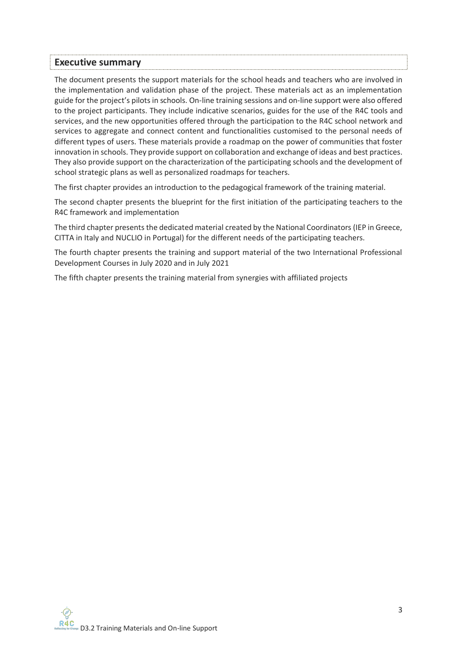## <span id="page-2-0"></span>**Executive summary**

The document presents the support materials for the school heads and teachers who are involved in the implementation and validation phase of the project. These materials act as an implementation guide for the project's pilots in schools. On-line training sessions and on-line support were also offered to the project participants. They include indicative scenarios, guides for the use of the R4C tools and services, and the new opportunities offered through the participation to the R4C school network and services to aggregate and connect content and functionalities customised to the personal needs of different types of users. These materials provide a roadmap on the power of communities that foster innovation in schools. They provide support on collaboration and exchange of ideas and best practices. They also provide support on the characterization of the participating schools and the development of school strategic plans as well as personalized roadmaps for teachers.

The first chapter provides an introduction to the pedagogical framework of the training material.

The second chapter presents the blueprint for the first initiation of the participating teachers to the R4C framework and implementation

The third chapter presents the dedicated material created by the National Coordinators (IEP in Greece, CITTA in Italy and NUCLIO in Portugal) for the different needs of the participating teachers.

The fourth chapter presents the training and support material of the two International Professional Development Courses in July 2020 and in July 2021

The fifth chapter presents the training material from synergies with affiliated projects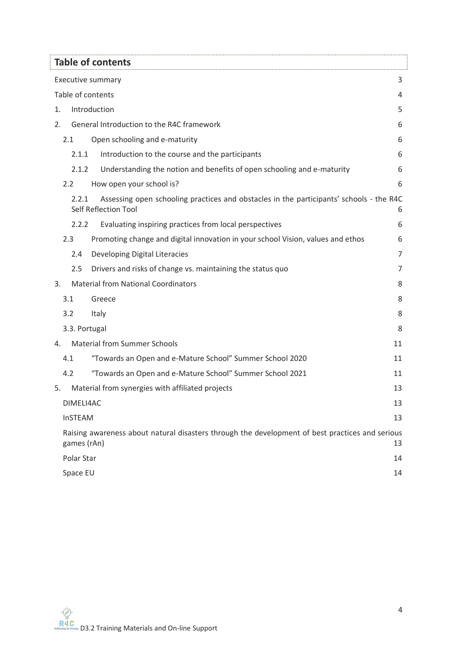<span id="page-3-0"></span>

|                   | <b>Table of contents</b>                                                                                        |    |
|-------------------|-----------------------------------------------------------------------------------------------------------------|----|
|                   | <b>Executive summary</b>                                                                                        | 3  |
| Table of contents |                                                                                                                 | 4  |
| 1.                | Introduction                                                                                                    | 5  |
| 2.                | General Introduction to the R4C framework                                                                       | 6  |
| 2.1               | Open schooling and e-maturity                                                                                   | 6  |
| 2.1.1             | Introduction to the course and the participants                                                                 | 6  |
| 2.1.2             | Understanding the notion and benefits of open schooling and e-maturity                                          | 6  |
| 2.2               | How open your school is?                                                                                        | 6  |
| 2.2.1             | Assessing open schooling practices and obstacles in the participants' schools - the R4C<br>Self Reflection Tool | 6  |
| 2.2.2             | Evaluating inspiring practices from local perspectives                                                          | 6  |
| 2.3               | Promoting change and digital innovation in your school Vision, values and ethos                                 | 6  |
| 2.4               | Developing Digital Literacies                                                                                   | 7  |
| 2.5               | Drivers and risks of change vs. maintaining the status quo                                                      | 7  |
| 3.                | <b>Material from National Coordinators</b>                                                                      | 8  |
| 3.1               | Greece                                                                                                          | 8  |
| 3.2               | Italy<br>8                                                                                                      |    |
| 3.3. Portugal     |                                                                                                                 | 8  |
| 4.                | <b>Material from Summer Schools</b>                                                                             | 11 |
| 4.1               | "Towards an Open and e-Mature School" Summer School 2020                                                        | 11 |
| 4.2               | "Towards an Open and e-Mature School" Summer School 2021                                                        | 11 |
| 5.                | Material from synergies with affiliated projects                                                                | 13 |
| DIMELI4AC         |                                                                                                                 | 13 |
| <b>InSTEAM</b>    |                                                                                                                 | 13 |
| games (rAn)       | Raising awareness about natural disasters through the development of best practices and serious                 | 13 |
| Polar Star        |                                                                                                                 | 14 |
| Space EU          |                                                                                                                 | 14 |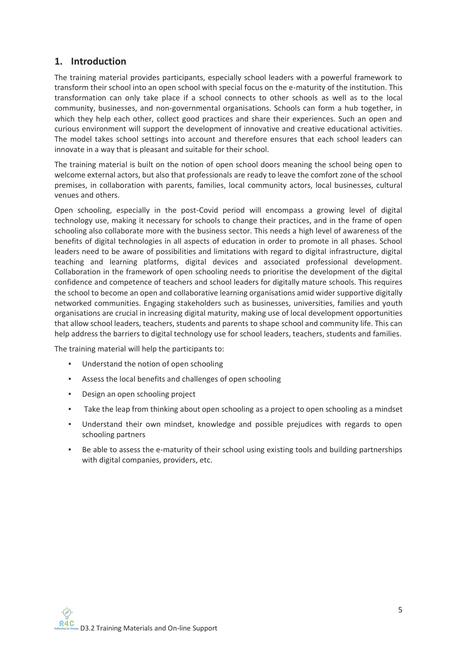# <span id="page-4-0"></span>**1. Introduction**

The training material provides participants, especially school leaders with a powerful framework to transform their school into an open school with special focus on the e-maturity of the institution. This transformation can only take place if a school connects to other schools as well as to the local community, businesses, and non-governmental organisations. Schools can form a hub together, in which they help each other, collect good practices and share their experiences. Such an open and curious environment will support the development of innovative and creative educational activities. The model takes school settings into account and therefore ensures that each school leaders can innovate in a way that is pleasant and suitable for their school.

The training material is built on the notion of open school doors meaning the school being open to welcome external actors, but also that professionals are ready to leave the comfort zone of the school premises, in collaboration with parents, families, local community actors, local businesses, cultural venues and others.

Open schooling, especially in the post-Covid period will encompass a growing level of digital technology use, making it necessary for schools to change their practices, and in the frame of open schooling also collaborate more with the business sector. This needs a high level of awareness of the benefits of digital technologies in all aspects of education in order to promote in all phases. School leaders need to be aware of possibilities and limitations with regard to digital infrastructure, digital teaching and learning platforms, digital devices and associated professional development. Collaboration in the framework of open schooling needs to prioritise the development of the digital confidence and competence of teachers and school leaders for digitally mature schools. This requires the school to become an open and collaborative learning organisations amid wider supportive digitally networked communities. Engaging stakeholders such as businesses, universities, families and youth organisations are crucial in increasing digital maturity, making use of local development opportunities that allow school leaders, teachers, students and parents to shape school and community life. This can help address the barriers to digital technology use for school leaders, teachers, students and families.

The training material will help the participants to:

- Understand the notion of open schooling
- Assess the local benefits and challenges of open schooling
- Design an open schooling project
- Take the leap from thinking about open schooling as a project to open schooling as a mindset
- Understand their own mindset, knowledge and possible prejudices with regards to open schooling partners
- Be able to assess the e-maturity of their school using existing tools and building partnerships with digital companies, providers, etc.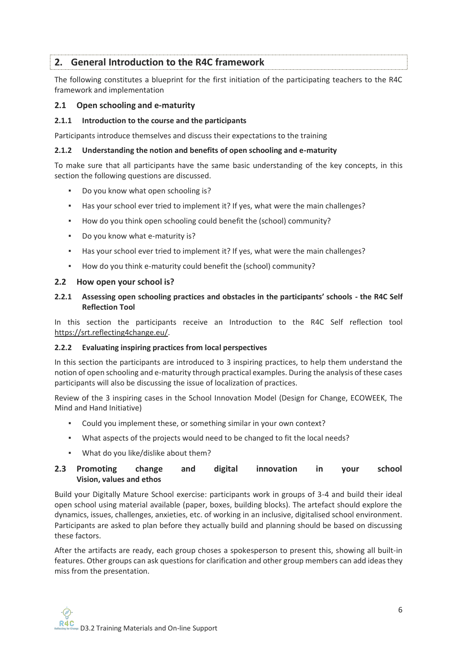# <span id="page-5-0"></span>**2. General Introduction to the R4C framework**

The following constitutes a blueprint for the first initiation of the participating teachers to the R4C framework and implementation

### <span id="page-5-1"></span>**2.1 Open schooling and e-maturity**

#### <span id="page-5-2"></span>**2.1.1 Introduction to the course and the participants**

Participants introduce themselves and discuss their expectations to the training

#### <span id="page-5-3"></span>**2.1.2 Understanding the notion and benefits of open schooling and e-maturity**

To make sure that all participants have the same basic understanding of the key concepts, in this section the following questions are discussed.

- Do you know what open schooling is?
- Has your school ever tried to implement it? If yes, what were the main challenges?
- How do you think open schooling could benefit the (school) community?
- Do you know what e-maturity is?
- Has your school ever tried to implement it? If yes, what were the main challenges?
- How do you think e-maturity could benefit the (school) community?

#### <span id="page-5-4"></span>**2.2 How open your school is?**

#### <span id="page-5-5"></span>**2.2.1 Assessing open schooling practices and obstacles in the participants' schools - the R4C Self Reflection Tool**

In this section the participants receive an Introduction to the R4C Self reflection tool [https://srt.reflecting4change.eu/.](https://srt.reflecting4change.eu/)

#### <span id="page-5-6"></span>**2.2.2 Evaluating inspiring practices from local perspectives**

In this section the participants are introduced to 3 inspiring practices, to help them understand the notion of open schooling and e-maturity through practical examples. During the analysis of these cases participants will also be discussing the issue of localization of practices.

Review of the 3 inspiring cases in the School Innovation Model (Design for Change, ECOWEEK, The Mind and Hand Initiative)

- Could you implement these, or something similar in your own context?
- What aspects of the projects would need to be changed to fit the local needs?
- What do you like/dislike about them?

#### <span id="page-5-7"></span>**2.3 Promoting change and digital innovation in your school Vision, values and ethos**

Build your Digitally Mature School exercise: participants work in groups of 3-4 and build their ideal open school using material available (paper, boxes, building blocks). The artefact should explore the dynamics, issues, challenges, anxieties, etc. of working in an inclusive, digitalised school environment. Participants are asked to plan before they actually build and planning should be based on discussing these factors.

After the artifacts are ready, each group choses a spokesperson to present this, showing all built-in features. Other groups can ask questions for clarification and other group members can add ideas they miss from the presentation.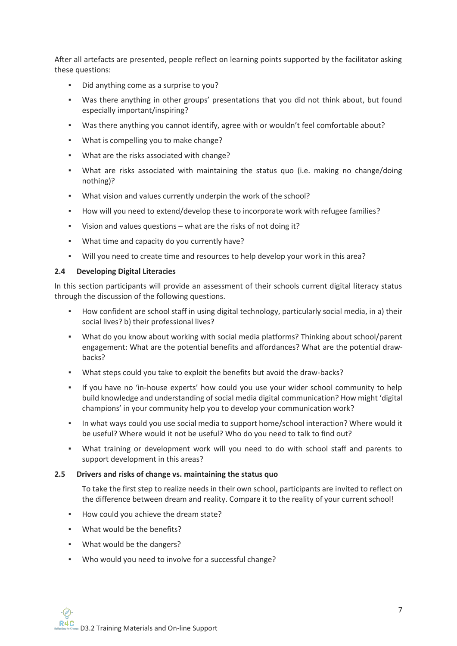After all artefacts are presented, people reflect on learning points supported by the facilitator asking these questions:

- Did anything come as a surprise to you?
- Was there anything in other groups' presentations that you did not think about, but found especially important/inspiring?
- Was there anything you cannot identify, agree with or wouldn't feel comfortable about?
- What is compelling you to make change?
- What are the risks associated with change?
- What are risks associated with maintaining the status quo (i.e. making no change/doing nothing)?
- What vision and values currently underpin the work of the school?
- How will you need to extend/develop these to incorporate work with refugee families?
- Vision and values questions what are the risks of not doing it?
- What time and capacity do you currently have?
- Will you need to create time and resources to help develop your work in this area?

## <span id="page-6-0"></span>**2.4 Developing Digital Literacies**

In this section participants will provide an assessment of their schools current digital literacy status through the discussion of the following questions.

- How confident are school staff in using digital technology, particularly social media, in a) their social lives? b) their professional lives?
- What do you know about working with social media platforms? Thinking about school/parent engagement: What are the potential benefits and affordances? What are the potential drawbacks?
- What steps could you take to exploit the benefits but avoid the draw-backs?
- If you have no 'in-house experts' how could you use your wider school community to help build knowledge and understanding of social media digital communication? How might 'digital champions' in your community help you to develop your communication work?
- In what ways could you use social media to support home/school interaction? Where would it be useful? Where would it not be useful? Who do you need to talk to find out?
- What training or development work will you need to do with school staff and parents to support development in this areas?

#### <span id="page-6-1"></span>**2.5 Drivers and risks of change vs. maintaining the status quo**

To take the first step to realize needs in their own school, participants are invited to reflect on the difference between dream and reality. Compare it to the reality of your current school!

- How could you achieve the dream state?
- What would be the benefits?
- What would be the dangers?
- Who would you need to involve for a successful change?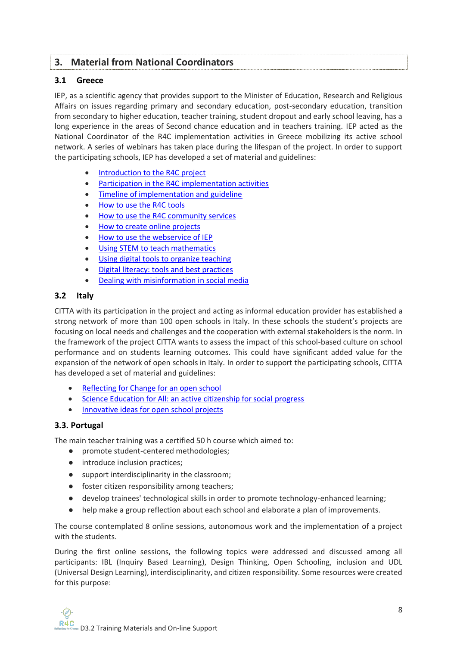# <span id="page-7-0"></span>**3. Material from National Coordinators**

## <span id="page-7-1"></span>**3.1 Greece**

IEP, as a scientific agency that provides support to the Minister of Education, Research and Religious Affairs on issues regarding primary and secondary education, post-secondary education, transition from secondary to higher education, teacher training, student dropout and early school leaving, has a long experience in the areas of Second chance education and in teachers training. IEP acted as the National Coordinator of the R4C implementation activities in Greece mobilizing its active school network. A series of webinars has taken place during the lifespan of the project. In order to support the participating schools, IEP has developed a set of material and guidelines:

- [Introduction to the R4C project](https://drive.google.com/file/d/1or7Znwol9HPp5YwCid_LmqNLqhh6sJcl/view?usp=sharing)
- [Participation in the R4C implementation activities](https://drive.google.com/file/d/13TAy_LawpQSyKd3yAxT9wF7YA8ZLNaec/view?usp=sharing)
- [Timeline of implementation and guideline](https://drive.google.com/file/d/1_T2M7BULTU9uc8W5iH6OXRQD2x9zGbSq/view?usp=sharing)
- [How to use the R4C tools](https://drive.google.com/file/d/1maBxRtupJ-3bNoR-QzOO1tT8k_pRnooa/view?usp=sharing)
- [How to use the R4C community services](https://drive.google.com/file/d/150i3fVGEhVscgcQSqWvOm89chrBnXOn0/view?usp=sharing)
- [How to create online projects](https://drive.google.com/file/d/1K-4IGJlLHyrtgdcwUTGEERSOvOdx7al1/view?usp=sharing)
- [How to use the webservice of IEP](https://drive.google.com/file/d/1GC9fgNvcxCr0PRUaQsVvtm3f0YrZ9W3D/view?usp=sharing)
- [Using STEM to teach mathematics](https://drive.google.com/file/d/12ZvtBwaXYDb7mBtk4M1QpZQPOkVJR4Ml/view?usp=sharing)
- [Using digital tools to organize teaching](https://drive.google.com/file/d/14zhi4iUtoobCoCW8u10bJHfo-y4gKNpC/view?usp=sharing)
- [Digital literacy: tools and best practices](https://drive.google.com/file/d/1WPvmIa4KgucmE7QG5u_e8ZrT5XvztFAS/view?usp=sharing)
- [Dealing with misinformation in social media](https://drive.google.com/file/d/1RIFMJqdhCpll0MpS2b4IPPd8g2ELqnoB/view?usp=sharing)

## <span id="page-7-2"></span>**3.2 Italy**

CITTA with its participation in the project and acting as informal education provider has established a strong network of more than 100 open schools in Italy. In these schools the student's projects are focusing on local needs and challenges and the cooperation with external stakeholders is the norm. In the framework of the project CITTA wants to assess the impact of this school-based culture on school performance and on students learning outcomes. This could have significant added value for the expansion of the network of open schools in Italy. In order to support the participating schools, CITTA has developed a set of material and guidelines:

- **[Reflecting for Change for an open school](https://docs.google.com/presentation/d/1gDaM1lfNPlr8ZoSFiTxMw0JrKc_C9OD6/edit?usp=sharing&ouid=101331448169637779775&rtpof=true&sd=true)**
- [Science Education for All: an active citizenship for social progress](https://drive.google.com/file/d/14fOrSEsLQ95CQqgF9Wu1SHsZpULpOnlB/view?usp=sharing)
- [Innovative ideas for open school projects](https://drive.google.com/file/d/18YOaqeRE6j2rIdNM79fQaUUPLCoCx-Ed/view?usp=sharing)

## <span id="page-7-3"></span>**3.3. Portugal**

The main teacher training was a certified 50 h course which aimed to:

- promote student-centered methodologies;
- introduce inclusion practices;
- support interdisciplinarity in the classroom;
- foster citizen responsibility among teachers;
- develop trainees' technological skills in order to promote technology-enhanced learning;
- help make a group reflection about each school and elaborate a plan of improvements.

The course contemplated 8 online sessions, autonomous work and the implementation of a project with the students.

During the first online sessions, the following topics were addressed and discussed among all participants: IBL (Inquiry Based Learning), Design Thinking, Open Schooling, inclusion and UDL (Universal Design Learning), interdisciplinarity, and citizen responsibility. Some resources were created for this purpose: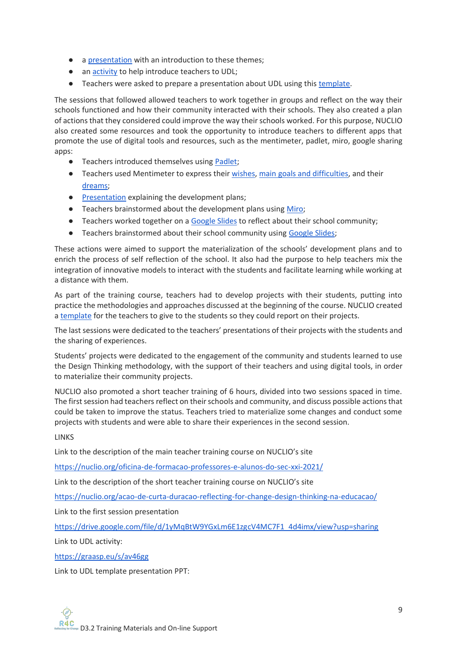- [a presentation](https://drive.google.com/file/d/1yMqBtW9YGxLm6E1zgcV4MC7F1_4d4imx/view?usp=sharing) with an introduction to these themes;
- an **activity** to help introduce teachers to UDL;
- Teachers were asked to prepare a presentation about UDL using this [template.](https://docs.google.com/presentation/d/1pY5jCzLmogKXmrljbhxAAoBO93kUVxF0/edit?usp=sharing&ouid=102566600090073116551&rtpof=true&sd=true)

The sessions that followed allowed teachers to work together in groups and reflect on the way their schools functioned and how their community interacted with their schools. They also created a plan of actions that they considered could improve the way their schools worked. For this purpose, NUCLIO also created some resources and took the opportunity to introduce teachers to different apps that promote the use of digital tools and resources, such as the mentimeter, padlet, miro, google sharing apps:

- Teachers introduced themselves using [Padlet;](https://drive.google.com/file/d/1WsFXEyZY1D0apQVsJ3tOlgiz7GtFF1IK/view?usp=sharing)
- Teachers used Mentimeter to express their [wishes,](https://drive.google.com/file/d/13JovDH1ltTguU1XNR8C1LRQ2XXHfeuN7/view?usp=sharing) [main goals and difficulties,](https://drive.google.com/file/d/15d_cNzxZfOPom1E4O19MdbTXNS4YHAQ2/view?usp=sharing) and their [dreams;](https://drive.google.com/file/d/1owFhmK8lOyYIoITyfkqWbBBlpWkdUBIP/view?usp=sharing)
- [Presentation](https://docs.google.com/presentation/d/1YBeIRaSiaa-iXvprrnFvs7Q2XlwKcSK_/edit#slide=id.p1) explaining the development plans;
- Teachers brainstormed about the development plans using [Miro;](https://miro.com/app/board/o9J_lBqnXoI=/?invite_link_id=564677836277)
- Teachers worked together on a [Google Slides](https://docs.google.com/presentation/d/1oVGk8RoIaLVEkXu_FAn-WEhOJt3qMTK7/edit#slide=id.p1) to reflect about their school community;
- Teachers brainstormed about their school community using [Google Slides;](https://docs.google.com/presentation/u/0/d/1l2YIAxYiPiH372ZapRfxWCMrx8SpLsf1/edit?fromCopy=true)

These actions were aimed to support the materialization of the schools' development plans and to enrich the process of self reflection of the school. It also had the purpose to help teachers mix the integration of innovative models to interact with the students and facilitate learning while working at a distance with them.

As part of the training course, teachers had to develop projects with their students, putting into practice the methodologies and approaches discussed at the beginning of the course. NUCLIO created [a template](https://docs.google.com/document/d/1rkNWTo9LNSAehrxO7WK7FGnc4cKYdr5U/edit) for the teachers to give to the students so they could report on their projects.

The last sessions were dedicated to the teachers' presentations of their projects with the students and the sharing of experiences.

Students' projects were dedicated to the engagement of the community and students learned to use the Design Thinking methodology, with the support of their teachers and using digital tools, in order to materialize their community projects.

NUCLIO also promoted a short teacher training of 6 hours, divided into two sessions spaced in time. The first session had teachers reflect on their schools and community, and discuss possible actions that could be taken to improve the status. Teachers tried to materialize some changes and conduct some projects with students and were able to share their experiences in the second session.

LINKS

Link to the description of the main teacher training course on NUCLIO's site

<https://nuclio.org/oficina-de-formacao-professores-e-alunos-do-sec-xxi-2021/>

Link to the description of the short teacher training course on NUCLIO's site

<https://nuclio.org/acao-de-curta-duracao-reflecting-for-change-design-thinking-na-educacao/>

Link to the first session presentation

[https://drive.google.com/file/d/1yMqBtW9YGxLm6E1zgcV4MC7F1\\_4d4imx/view?usp=sharing](https://drive.google.com/file/d/1yMqBtW9YGxLm6E1zgcV4MC7F1_4d4imx/view?usp=sharing)

Link to UDL activity:

<https://graasp.eu/s/av46gg>

Link to UDL template presentation PPT: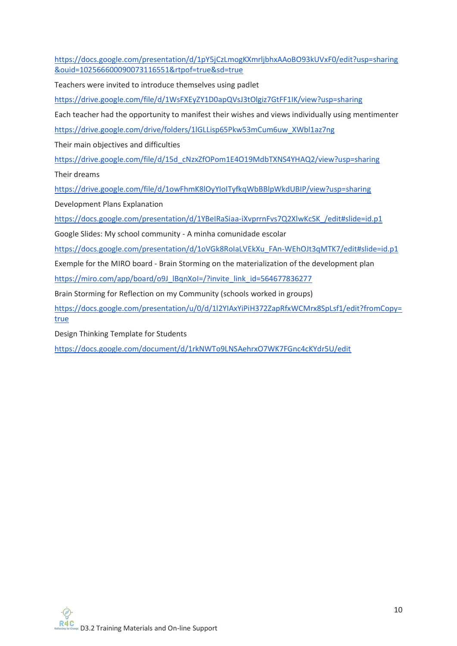[https://docs.google.com/presentation/d/1pY5jCzLmogKXmrljbhxAAoBO93kUVxF0/edit?usp=sharing](https://docs.google.com/presentation/d/1pY5jCzLmogKXmrljbhxAAoBO93kUVxF0/edit?usp=sharing&ouid=102566600090073116551&rtpof=true&sd=true) [&ouid=102566600090073116551&rtpof=true&sd=true](https://docs.google.com/presentation/d/1pY5jCzLmogKXmrljbhxAAoBO93kUVxF0/edit?usp=sharing&ouid=102566600090073116551&rtpof=true&sd=true)

Teachers were invited to introduce themselves using padlet

<https://drive.google.com/file/d/1WsFXEyZY1D0apQVsJ3tOlgiz7GtFF1IK/view?usp=sharing>

Each teacher had the opportunity to manifest their wishes and views individually using mentimenter

[https://drive.google.com/drive/folders/1lGLLisp65Pkw53mCum6uw\\_XWbl1az7ng](https://drive.google.com/file/d/13JovDH1ltTguU1XNR8C1LRQ2XXHfeuN7/view?usp=sharing)

Their main objectives and difficulties

[https://drive.google.com/file/d/15d\\_cNzxZfOPom1E4O19MdbTXNS4YHAQ2/view?usp=sharing](https://drive.google.com/file/d/15d_cNzxZfOPom1E4O19MdbTXNS4YHAQ2/view?usp=sharing)

Their dreams

<https://drive.google.com/file/d/1owFhmK8lOyYIoITyfkqWbBBlpWkdUBIP/view?usp=sharing>

Development Plans Explanation

[https://docs.google.com/presentation/d/1YBeIRaSiaa-iXvprrnFvs7Q2XlwKcSK\\_/edit#slide=id.p1](https://docs.google.com/presentation/d/1YBeIRaSiaa-iXvprrnFvs7Q2XlwKcSK_/edit#slide=id.p1)

Google Slides: My school community - A minha comunidade escolar

[https://docs.google.com/presentation/d/1oVGk8RoIaLVEkXu\\_FAn-WEhOJt3qMTK7/edit#slide=id.p1](https://docs.google.com/presentation/d/1oVGk8RoIaLVEkXu_FAn-WEhOJt3qMTK7/edit#slide=id.p1)

Exemple for the MIRO board - Brain Storming on the materialization of the development plan

[https://miro.com/app/board/o9J\\_lBqnXoI=/?invite\\_link\\_id=564677836277](https://miro.com/app/board/o9J_lBqnXoI=/?invite_link_id=564677836277)

Brain Storming for Reflection on my Community (schools worked in groups)

[https://docs.google.com/presentation/u/0/d/1l2YIAxYiPiH372ZapRfxWCMrx8SpLsf1/edit?fromCopy=](https://docs.google.com/presentation/u/0/d/1l2YIAxYiPiH372ZapRfxWCMrx8SpLsf1/edit?fromCopy=true) [true](https://docs.google.com/presentation/u/0/d/1l2YIAxYiPiH372ZapRfxWCMrx8SpLsf1/edit?fromCopy=true)

Design Thinking Template for Students

<https://docs.google.com/document/d/1rkNWTo9LNSAehrxO7WK7FGnc4cKYdr5U/edit>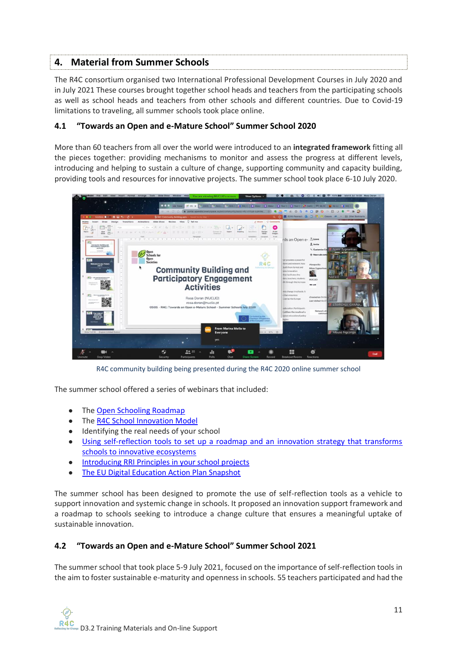# <span id="page-10-0"></span>**4. Material from Summer Schools**

The R4C consortium organised two International Professional Development Courses in July 2020 and in July 2021 These courses brought together school heads and teachers from the participating schools as well as school heads and teachers from other schools and different countries. Due to Covid-19 limitations to traveling, all summer schools took place online.

# <span id="page-10-1"></span>**4.1 "Towards an Open and e-Mature School" Summer School 2020**

More than 60 teachers from all over the world were introduced to an **integrated framework** fitting all the pieces together: providing mechanisms to monitor and assess the progress at different levels, introducing and helping to sustain a culture of change, supporting community and capacity building, providing tools and resources for innovative projects. The summer school took place 6-10 July 2020.



R4C community building being presented during the R4C 2020 online summer school

The summer school offered a series of webinars that included:

- The [Open Schooling Roadmap](https://esia.ea.gr/wp-content/uploads/2021/07/Open_Schooling_Roadmap.pdf)
- The [R4C School Innovation Model](https://portal.opendiscoveryspace.eu/sites/default/files/r4c_model_book_2020.pdf)
- Identifying the real needs of your school
- Using self-reflection tools to set up a roadmap and an innovation strategy that transforms [schools to innovative ecosystems](https://docs.google.com/presentation/d/1rSbvDNGYQEirK8d_izXeehy1b24dO_jG/edit?usp=sharing&ouid=103786836558019409263&rtpof=true&sd=true)
- [Introducing RRI Principles in your school projects](https://docs.google.com/presentation/d/1KsNIeZfwZkGP4EyfRNpNwJ7M-6OAvWyL/edit?usp=sharing&ouid=103786836558019409263&rtpof=true&sd=true)
- [The EU Digital Education Action Plan Snapshot](https://portal.opendiscoveryspace.eu/sites/default/files/the_eu_digital_education_action_plan_snapshot.pdf)

The summer school has been designed to promote the use of self-reflection tools as a vehicle to support innovation and systemic change in schools. It proposed an innovation support framework and a roadmap to schools seeking to introduce a change culture that ensures a meaningful uptake of sustainable innovation.

## <span id="page-10-2"></span>**4.2 "Towards an Open and e-Mature School" Summer School 2021**

The summer school that took place 5-9 July 2021, focused on the importance of self-reflection tools in the aim to foster sustainable e-maturity and openness in schools. 55 teachers participated and had the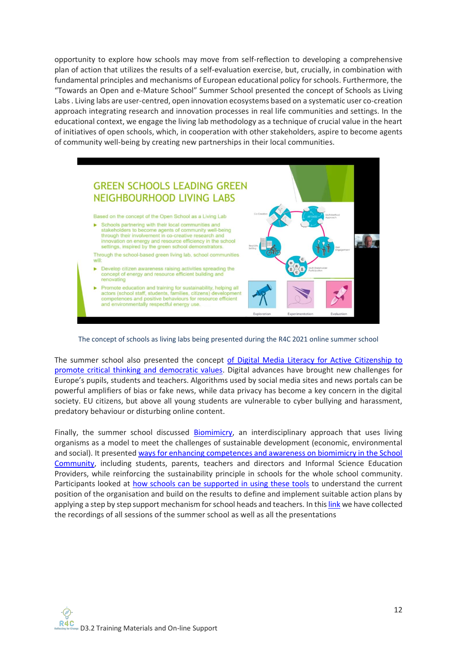opportunity to explore how schools may move from self-reflection to developing a comprehensive plan of action that utilizes the results of a self-evaluation exercise, but, crucially, in combination with fundamental principles and mechanisms of European educational policy for schools. Furthermore, the "Towards an Open and e-Mature School" Summer School presented the concept of Schools as Living Labs . Living labs are user-centred, open innovation ecosystems based on a systematic user co-creation approach integrating research and innovation processes in real life communities and settings. In the educational context, we engage the living lab methodology as a technique of crucial value in the heart of initiatives of open schools, which, in cooperation with other stakeholders, aspire to become agents of community well-being by creating new partnerships in their local communities.



The concept of schools as living labs being presented during the R4C 2021 online summer school

The summer school also presented the concept [of Digital Media Literacy for Active Citizenship to](https://drive.google.com/file/d/1wnLTZdua0e02rvu1CdpqqD28lqjf2TjP/view?usp=sharing)  [promote critical thinking and democratic values.](https://drive.google.com/file/d/1wnLTZdua0e02rvu1CdpqqD28lqjf2TjP/view?usp=sharing) Digital advances have brought new challenges for Europe's pupils, students and teachers. Algorithms used by social media sites and news portals can be powerful amplifiers of bias or fake news, while data privacy has become a key concern in the digital society. EU citizens, but above all young students are vulnerable to cyber bullying and harassment, predatory behaviour or disturbing online content.

Finally, the summer school discussed [Biomimicry,](https://docs.google.com/presentation/d/1LGwpayr3IrI6CO1phEv0-GBPGdZMHG83/edit#slide=id.p1) an interdisciplinary approach that uses living organisms as a model to meet the challenges of sustainable development (economic, environmental and social). It presented [ways for enhancing competences and awareness on biomimicry in the School](https://esia.ea.gr/wp-content/uploads/2021/07/Biomimicry_Activities_Book.pdf)  [Community,](https://esia.ea.gr/wp-content/uploads/2021/07/Biomimicry_Activities_Book.pdf) including students, parents, teachers and directors and Informal Science Education Providers, while reinforcing the sustainability principle in schools for the whole school community. Participants looked at [how schools can be supported in using these tools](https://docs.google.com/presentation/d/1BDCAi8a4jFXLDSRl2Vx6UGv4zHdvmt_5/edit#slide=id.p5) to understand the current position of the organisation and build on the results to define and implement suitable action plans by applying a step by step support mechanism for school heads and teachers. In thi[s link](https://drive.google.com/drive/folders/192-rz1VqPbLNgryty5bIgTObKKEbdNrv?usp=sharing) we have collected the recordings of all sessions of the summer school as well as all the presentations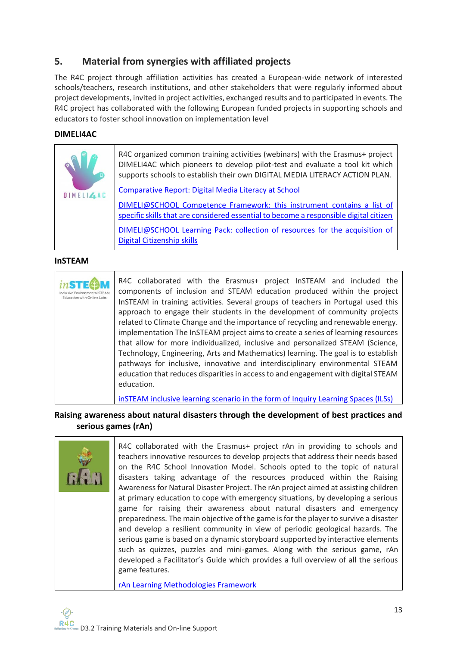# <span id="page-12-0"></span>**5. Material from synergies with affiliated projects**

The R4C project through affiliation activities has created a European-wide network of interested schools/teachers, research institutions, and other stakeholders that were regularly informed about project developments, invited in project activities, exchanged results and to participated in events. The R4C project has collaborated with the following European funded projects in supporting schools and educators to foster school innovation on implementation level

## <span id="page-12-1"></span>**DIMELI4AC**

|                             | R4C organized common training activities (webinars) with the Erasmus+ project<br>DIMELI4AC which pioneers to develop pilot-test and evaluate a tool kit which<br>supports schools to establish their own DIGITAL MEDIA LITERACY ACTION PLAN. |
|-----------------------------|----------------------------------------------------------------------------------------------------------------------------------------------------------------------------------------------------------------------------------------------|
| $D$ IMELI $\mathbb{Z}_k$ AC | Comparative Report: Digital Media Literacy at School                                                                                                                                                                                         |
|                             | DIMELI@SCHOOL Competence Framework: this instrument contains a list of<br>specific skills that are considered essential to become a responsible digital citizen                                                                              |
|                             | DIMELI@SCHOOL Learning Pack: collection of resources for the acquisition of<br><b>Digital Citizenship skills</b>                                                                                                                             |

#### <span id="page-12-2"></span>**InSTEAM**

| Education with Online Labs | R4C collaborated with the Erasmus+ project InSTEAM and included the<br>components of inclusion and STEAM education produced within the project<br>InSTEAM in training activities. Several groups of teachers in Portugal used this<br>approach to engage their students in the development of community projects<br>related to Climate Change and the importance of recycling and renewable energy.<br>implementation The InSTEAM project aims to create a series of learning resources<br>that allow for more individualized, inclusive and personalized STEAM (Science,<br>Technology, Engineering, Arts and Mathematics) learning. The goal is to establish<br>pathways for inclusive, innovative and interdisciplinary environmental STEAM<br>education that reduces disparities in access to and engagement with digital STEAM<br>education.<br>inSTEAM inclusive learning scenario in the form of Inquiry Learning Spaces (ILSs) |
|----------------------------|----------------------------------------------------------------------------------------------------------------------------------------------------------------------------------------------------------------------------------------------------------------------------------------------------------------------------------------------------------------------------------------------------------------------------------------------------------------------------------------------------------------------------------------------------------------------------------------------------------------------------------------------------------------------------------------------------------------------------------------------------------------------------------------------------------------------------------------------------------------------------------------------------------------------------------------|

# <span id="page-12-3"></span>**Raising awareness about natural disasters through the development of best practices and serious games (rAn)**

| R4C collaborated with the Erasmus+ project rAn in providing to schools and<br>teachers innovative resources to develop projects that address their needs based<br>on the R4C School Innovation Model. Schools opted to the topic of natural<br>disasters taking advantage of the resources produced within the Raising<br>Awareness for Natural Disaster Project. The rAn project aimed at assisting children<br>at primary education to cope with emergency situations, by developing a serious<br>game for raising their awareness about natural disasters and emergency<br>preparedness. The main objective of the game is for the player to survive a disaster<br>and develop a resilient community in view of periodic geological hazards. The<br>serious game is based on a dynamic storyboard supported by interactive elements<br>such as quizzes, puzzles and mini-games. Along with the serious game, rAn<br>developed a Facilitator's Guide which provides a full overview of all the serious<br>game features. |
|----------------------------------------------------------------------------------------------------------------------------------------------------------------------------------------------------------------------------------------------------------------------------------------------------------------------------------------------------------------------------------------------------------------------------------------------------------------------------------------------------------------------------------------------------------------------------------------------------------------------------------------------------------------------------------------------------------------------------------------------------------------------------------------------------------------------------------------------------------------------------------------------------------------------------------------------------------------------------------------------------------------------------|
| rAn Learning Methodologies Framework                                                                                                                                                                                                                                                                                                                                                                                                                                                                                                                                                                                                                                                                                                                                                                                                                                                                                                                                                                                       |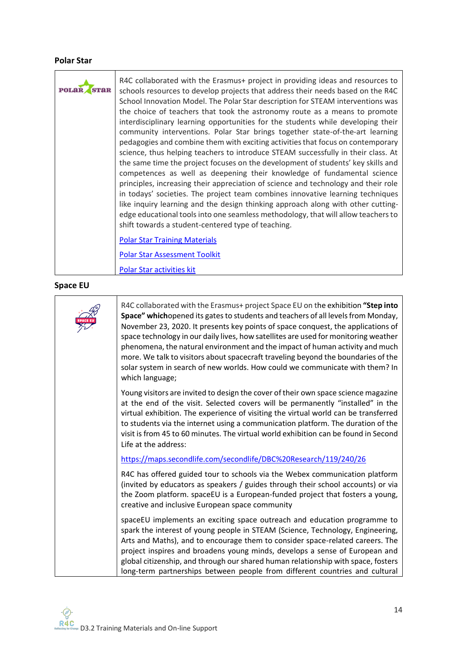# <span id="page-13-0"></span>**Polar Star**

| <b>POLAR</b> | R4C collaborated with the Erasmus+ project in providing ideas and resources to<br>schools resources to develop projects that address their needs based on the R4C<br>School Innovation Model. The Polar Star description for STEAM interventions was<br>the choice of teachers that took the astronomy route as a means to promote<br>interdisciplinary learning opportunities for the students while developing their<br>community interventions. Polar Star brings together state-of-the-art learning<br>pedagogies and combine them with exciting activities that focus on contemporary<br>science, thus helping teachers to introduce STEAM successfully in their class. At<br>the same time the project focuses on the development of students' key skills and<br>competences as well as deepening their knowledge of fundamental science<br>principles, increasing their appreciation of science and technology and their role<br>in todays' societies. The project team combines innovative learning techniques<br>like inquiry learning and the design thinking approach along with other cutting-<br>edge educational tools into one seamless methodology, that will allow teachers to<br>shift towards a student-centered type of teaching. |
|--------------|-------------------------------------------------------------------------------------------------------------------------------------------------------------------------------------------------------------------------------------------------------------------------------------------------------------------------------------------------------------------------------------------------------------------------------------------------------------------------------------------------------------------------------------------------------------------------------------------------------------------------------------------------------------------------------------------------------------------------------------------------------------------------------------------------------------------------------------------------------------------------------------------------------------------------------------------------------------------------------------------------------------------------------------------------------------------------------------------------------------------------------------------------------------------------------------------------------------------------------------------------------|
|              | <b>Polar Star Training Materials</b>                                                                                                                                                                                                                                                                                                                                                                                                                                                                                                                                                                                                                                                                                                                                                                                                                                                                                                                                                                                                                                                                                                                                                                                                                  |
|              | <b>Polar Star Assessment Toolkit</b>                                                                                                                                                                                                                                                                                                                                                                                                                                                                                                                                                                                                                                                                                                                                                                                                                                                                                                                                                                                                                                                                                                                                                                                                                  |
|              | <b>Polar Star activities kit</b>                                                                                                                                                                                                                                                                                                                                                                                                                                                                                                                                                                                                                                                                                                                                                                                                                                                                                                                                                                                                                                                                                                                                                                                                                      |

# <span id="page-13-1"></span>**Space EU**

| R4C collaborated with the Erasmus+ project Space EU on the exhibition "Step into<br>Space" whichopened its gates to students and teachers of all levels from Monday,<br>November 23, 2020. It presents key points of space conquest, the applications of<br>space technology in our daily lives, how satellites are used for monitoring weather<br>phenomena, the natural environment and the impact of human activity and much<br>more. We talk to visitors about spacecraft traveling beyond the boundaries of the<br>solar system in search of new worlds. How could we communicate with them? In<br>which language; |
|-------------------------------------------------------------------------------------------------------------------------------------------------------------------------------------------------------------------------------------------------------------------------------------------------------------------------------------------------------------------------------------------------------------------------------------------------------------------------------------------------------------------------------------------------------------------------------------------------------------------------|
| Young visitors are invited to design the cover of their own space science magazine<br>at the end of the visit. Selected covers will be permanently "installed" in the<br>virtual exhibition. The experience of visiting the virtual world can be transferred<br>to students via the internet using a communication platform. The duration of the<br>visit is from 45 to 60 minutes. The virtual world exhibition can be found in Second<br>Life at the address:                                                                                                                                                         |
| https://maps.secondlife.com/secondlife/DBC%20Research/119/240/26                                                                                                                                                                                                                                                                                                                                                                                                                                                                                                                                                        |
| R4C has offered guided tour to schools via the Webex communication platform<br>(invited by educators as speakers / guides through their school accounts) or via<br>the Zoom platform. spaceEU is a European-funded project that fosters a young,<br>creative and inclusive European space community                                                                                                                                                                                                                                                                                                                     |
| spaceEU implements an exciting space outreach and education programme to<br>spark the interest of young people in STEAM (Science, Technology, Engineering,<br>Arts and Maths), and to encourage them to consider space-related careers. The<br>project inspires and broadens young minds, develops a sense of European and<br>global citizenship, and through our shared human relationship with space, fosters<br>long-term partnerships between people from different countries and cultural                                                                                                                          |